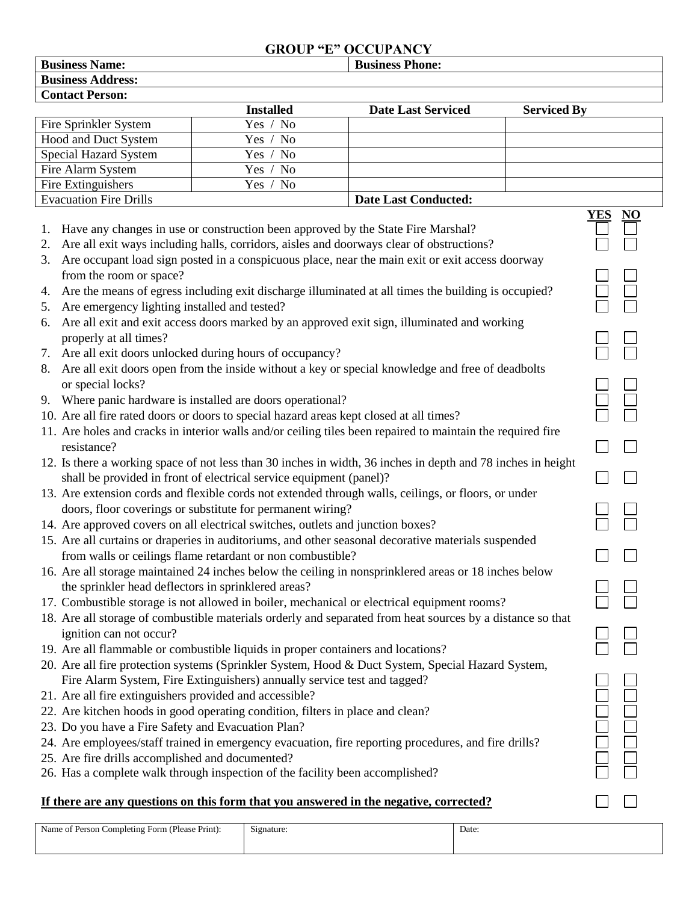## **GROUP "E" OCCUPANCY**

| <b>Business Phone:</b><br><b>Business Name:</b>                                                              |                                                                                                  |                                                                                                     |                    |                  |  |  |
|--------------------------------------------------------------------------------------------------------------|--------------------------------------------------------------------------------------------------|-----------------------------------------------------------------------------------------------------|--------------------|------------------|--|--|
| <b>Business Address:</b>                                                                                     |                                                                                                  |                                                                                                     |                    |                  |  |  |
| <b>Contact Person:</b>                                                                                       |                                                                                                  |                                                                                                     |                    |                  |  |  |
|                                                                                                              | <b>Installed</b>                                                                                 | <b>Date Last Serviced</b>                                                                           | <b>Serviced By</b> |                  |  |  |
| Fire Sprinkler System                                                                                        | N <sub>o</sub><br>Yes /                                                                          |                                                                                                     |                    |                  |  |  |
| Hood and Duct System                                                                                         | Yes /<br><b>No</b>                                                                               |                                                                                                     |                    |                  |  |  |
| Special Hazard System                                                                                        | Yes / No                                                                                         |                                                                                                     |                    |                  |  |  |
| Fire Alarm System                                                                                            | N <sub>o</sub><br>Yes /                                                                          |                                                                                                     |                    |                  |  |  |
| Fire Extinguishers                                                                                           | Yes /<br>No                                                                                      |                                                                                                     |                    |                  |  |  |
| <b>Evacuation Fire Drills</b><br><b>Date Last Conducted:</b>                                                 |                                                                                                  |                                                                                                     |                    |                  |  |  |
|                                                                                                              |                                                                                                  |                                                                                                     |                    | YES<br><u>NO</u> |  |  |
| Have any changes in use or construction been approved by the State Fire Marshal?<br>1.                       |                                                                                                  |                                                                                                     |                    |                  |  |  |
| Are all exit ways including halls, corridors, aisles and doorways clear of obstructions?<br>2.               |                                                                                                  |                                                                                                     |                    |                  |  |  |
| 3.                                                                                                           | Are occupant load sign posted in a conspicuous place, near the main exit or exit access doorway  |                                                                                                     |                    |                  |  |  |
| from the room or space?                                                                                      |                                                                                                  |                                                                                                     |                    |                  |  |  |
| 4.                                                                                                           |                                                                                                  | Are the means of egress including exit discharge illuminated at all times the building is occupied? |                    |                  |  |  |
| Are emergency lighting installed and tested?<br>5.                                                           |                                                                                                  |                                                                                                     |                    |                  |  |  |
| 6.                                                                                                           |                                                                                                  | Are all exit and exit access doors marked by an approved exit sign, illuminated and working         |                    |                  |  |  |
| properly at all times?                                                                                       |                                                                                                  |                                                                                                     |                    |                  |  |  |
| 7. Are all exit doors unlocked during hours of occupancy?                                                    |                                                                                                  |                                                                                                     |                    |                  |  |  |
| 8.                                                                                                           | Are all exit doors open from the inside without a key or special knowledge and free of deadbolts |                                                                                                     |                    |                  |  |  |
| or special locks?                                                                                            |                                                                                                  |                                                                                                     |                    |                  |  |  |
| 9. Where panic hardware is installed are doors operational?                                                  |                                                                                                  |                                                                                                     |                    |                  |  |  |
| 10. Are all fire rated doors or doors to special hazard areas kept closed at all times?                      |                                                                                                  |                                                                                                     |                    |                  |  |  |
|                                                                                                              |                                                                                                  |                                                                                                     |                    |                  |  |  |
| 11. Are holes and cracks in interior walls and/or ceiling tiles been repaired to maintain the required fire  |                                                                                                  |                                                                                                     |                    |                  |  |  |
| resistance?                                                                                                  |                                                                                                  |                                                                                                     |                    |                  |  |  |
| 12. Is there a working space of not less than 30 inches in width, 36 inches in depth and 78 inches in height |                                                                                                  |                                                                                                     |                    |                  |  |  |
| shall be provided in front of electrical service equipment (panel)?                                          |                                                                                                  |                                                                                                     |                    |                  |  |  |
| 13. Are extension cords and flexible cords not extended through walls, ceilings, or floors, or under         |                                                                                                  |                                                                                                     |                    |                  |  |  |
| doors, floor coverings or substitute for permanent wiring?                                                   |                                                                                                  |                                                                                                     |                    |                  |  |  |
| 14. Are approved covers on all electrical switches, outlets and junction boxes?                              |                                                                                                  |                                                                                                     |                    |                  |  |  |
| 15. Are all curtains or draperies in auditoriums, and other seasonal decorative materials suspended          |                                                                                                  |                                                                                                     |                    |                  |  |  |
| from walls or ceilings flame retardant or non combustible?                                                   |                                                                                                  |                                                                                                     |                    |                  |  |  |
| 16. Are all storage maintained 24 inches below the ceiling in nonsprinklered areas or 18 inches below        |                                                                                                  |                                                                                                     |                    |                  |  |  |
| the sprinkler head deflectors in sprinklered areas?                                                          |                                                                                                  |                                                                                                     |                    |                  |  |  |
| 17. Combustible storage is not allowed in boiler, mechanical or electrical equipment rooms?                  |                                                                                                  |                                                                                                     |                    |                  |  |  |
| 18. Are all storage of combustible materials orderly and separated from heat sources by a distance so that   |                                                                                                  |                                                                                                     |                    |                  |  |  |
| ignition can not occur?                                                                                      |                                                                                                  |                                                                                                     |                    |                  |  |  |
| 19. Are all flammable or combustible liquids in proper containers and locations?                             |                                                                                                  |                                                                                                     |                    |                  |  |  |
| 20. Are all fire protection systems (Sprinkler System, Hood & Duct System, Special Hazard System,            |                                                                                                  |                                                                                                     |                    |                  |  |  |
| Fire Alarm System, Fire Extinguishers) annually service test and tagged?                                     |                                                                                                  |                                                                                                     |                    |                  |  |  |
| 21. Are all fire extinguishers provided and accessible?                                                      |                                                                                                  |                                                                                                     |                    |                  |  |  |
| 22. Are kitchen hoods in good operating condition, filters in place and clean?                               |                                                                                                  |                                                                                                     |                    |                  |  |  |
| 23. Do you have a Fire Safety and Evacuation Plan?                                                           |                                                                                                  |                                                                                                     |                    |                  |  |  |
| 24. Are employees/staff trained in emergency evacuation, fire reporting procedures, and fire drills?         |                                                                                                  |                                                                                                     |                    | DOOOOC<br>OOOOOC |  |  |
| 25. Are fire drills accomplished and documented?                                                             |                                                                                                  |                                                                                                     |                    |                  |  |  |
| 26. Has a complete walk through inspection of the facility been accomplished?                                |                                                                                                  |                                                                                                     |                    |                  |  |  |
|                                                                                                              |                                                                                                  |                                                                                                     |                    |                  |  |  |

## **If there are any questions on this form that you answered in the negative, corrected?**

| Name of Person Completing Form (Please Print): | $\sim$<br>Signature: | Date: |
|------------------------------------------------|----------------------|-------|
|                                                |                      |       |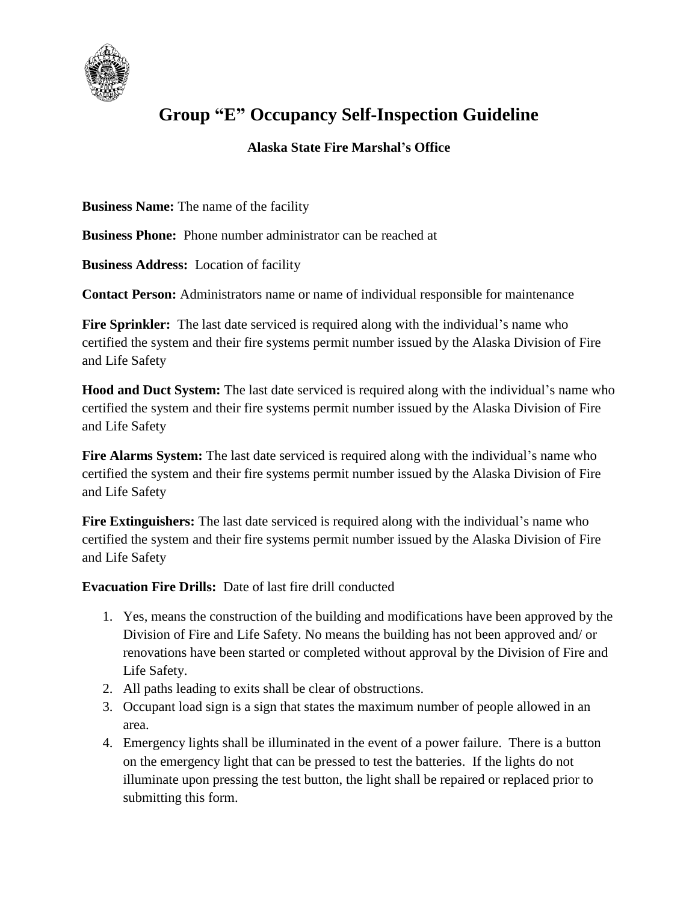

## **Group "E" Occupancy Self-Inspection Guideline**

## **Alaska State Fire Marshal's Office**

**Business Name:** The name of the facility

**Business Phone:** Phone number administrator can be reached at

**Business Address:** Location of facility

**Contact Person:** Administrators name or name of individual responsible for maintenance

Fire Sprinkler: The last date serviced is required along with the individual's name who certified the system and their fire systems permit number issued by the Alaska Division of Fire and Life Safety

**Hood and Duct System:** The last date serviced is required along with the individual's name who certified the system and their fire systems permit number issued by the Alaska Division of Fire and Life Safety

Fire Alarms System: The last date serviced is required along with the individual's name who certified the system and their fire systems permit number issued by the Alaska Division of Fire and Life Safety

**Fire Extinguishers:** The last date serviced is required along with the individual's name who certified the system and their fire systems permit number issued by the Alaska Division of Fire and Life Safety

**Evacuation Fire Drills:** Date of last fire drill conducted

- 1. Yes, means the construction of the building and modifications have been approved by the Division of Fire and Life Safety. No means the building has not been approved and/ or renovations have been started or completed without approval by the Division of Fire and Life Safety.
- 2. All paths leading to exits shall be clear of obstructions.
- 3. Occupant load sign is a sign that states the maximum number of people allowed in an area.
- 4. Emergency lights shall be illuminated in the event of a power failure. There is a button on the emergency light that can be pressed to test the batteries. If the lights do not illuminate upon pressing the test button, the light shall be repaired or replaced prior to submitting this form.